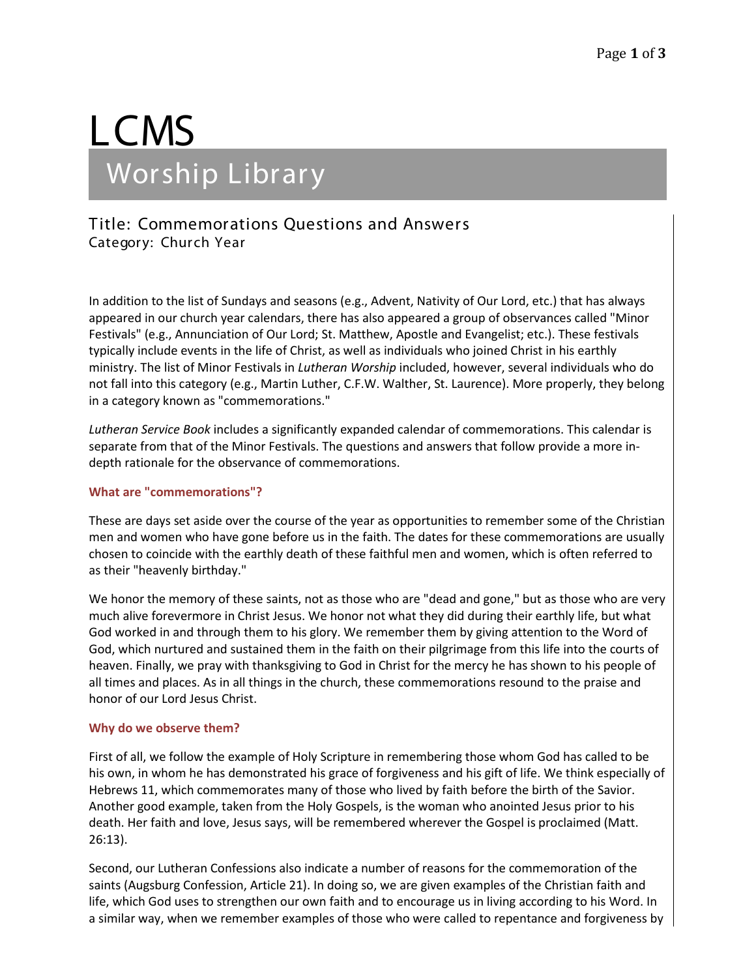# LCMS Worship Library

# Title: Commemorations Questions and Answers Category: Church Year

In addition to the list of Sundays and seasons (e.g., Advent, Nativity of Our Lord, etc.) that has always appeared in our church year calendars, there has also appeared a group of observances called "Minor Festivals" (e.g., Annunciation of Our Lord; St. Matthew, Apostle and Evangelist; etc.). These festivals typically include events in the life of Christ, as well as individuals who joined Christ in his earthly ministry. The list of Minor Festivals in *Lutheran Worship* included, however, several individuals who do not fall into this category (e.g., Martin Luther, C.F.W. Walther, St. Laurence). More properly, they belong in a category known as "commemorations."

*Lutheran Service Book* includes a significantly expanded calendar of commemorations. This calendar is separate from that of the Minor Festivals. The questions and answers that follow provide a more indepth rationale for the observance of commemorations.

## **What are "commemorations"?**

These are days set aside over the course of the year as opportunities to remember some of the Christian men and women who have gone before us in the faith. The dates for these commemorations are usually chosen to coincide with the earthly death of these faithful men and women, which is often referred to as their "heavenly birthday."

We honor the memory of these saints, not as those who are "dead and gone," but as those who are very much alive forevermore in Christ Jesus. We honor not what they did during their earthly life, but what God worked in and through them to his glory. We remember them by giving attention to the Word of God, which nurtured and sustained them in the faith on their pilgrimage from this life into the courts of heaven. Finally, we pray with thanksgiving to God in Christ for the mercy he has shown to his people of all times and places. As in all things in the church, these commemorations resound to the praise and honor of our Lord Jesus Christ.

#### **Why do we observe them?**

First of all, we follow the example of Holy Scripture in remembering those whom God has called to be his own, in whom he has demonstrated his grace of forgiveness and his gift of life. We think especially of Hebrews 11, which commemorates many of those who lived by faith before the birth of the Savior. Another good example, taken from the Holy Gospels, is the woman who anointed Jesus prior to his death. Her faith and love, Jesus says, will be remembered wherever the Gospel is proclaimed (Matt. 26:13).

Second, our Lutheran Confessions also indicate a number of reasons for the commemoration of the saints (Augsburg Confession, Article 21). In doing so, we are given examples of the Christian faith and life, which God uses to strengthen our own faith and to encourage us in living according to his Word. In a similar way, when we remember examples of those who were called to repentance and forgiveness by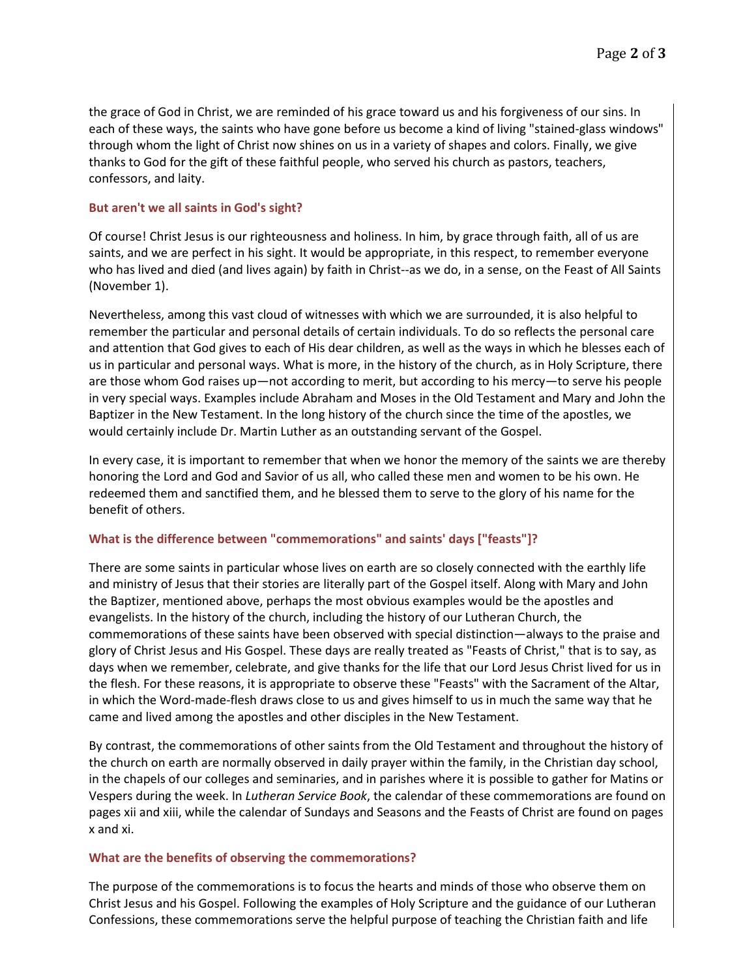the grace of God in Christ, we are reminded of his grace toward us and his forgiveness of our sins. In each of these ways, the saints who have gone before us become a kind of living "stained-glass windows" through whom the light of Christ now shines on us in a variety of shapes and colors. Finally, we give thanks to God for the gift of these faithful people, who served his church as pastors, teachers, confessors, and laity.

# **But aren't we all saints in God's sight?**

Of course! Christ Jesus is our righteousness and holiness. In him, by grace through faith, all of us are saints, and we are perfect in his sight. It would be appropriate, in this respect, to remember everyone who has lived and died (and lives again) by faith in Christ--as we do, in a sense, on the Feast of All Saints (November 1).

Nevertheless, among this vast cloud of witnesses with which we are surrounded, it is also helpful to remember the particular and personal details of certain individuals. To do so reflects the personal care and attention that God gives to each of His dear children, as well as the ways in which he blesses each of us in particular and personal ways. What is more, in the history of the church, as in Holy Scripture, there are those whom God raises up—not according to merit, but according to his mercy—to serve his people in very special ways. Examples include Abraham and Moses in the Old Testament and Mary and John the Baptizer in the New Testament. In the long history of the church since the time of the apostles, we would certainly include Dr. Martin Luther as an outstanding servant of the Gospel.

In every case, it is important to remember that when we honor the memory of the saints we are thereby honoring the Lord and God and Savior of us all, who called these men and women to be his own. He redeemed them and sanctified them, and he blessed them to serve to the glory of his name for the benefit of others.

# **What is the difference between "commemorations" and saints' days ["feasts"]?**

There are some saints in particular whose lives on earth are so closely connected with the earthly life and ministry of Jesus that their stories are literally part of the Gospel itself. Along with Mary and John the Baptizer, mentioned above, perhaps the most obvious examples would be the apostles and evangelists. In the history of the church, including the history of our Lutheran Church, the commemorations of these saints have been observed with special distinction—always to the praise and glory of Christ Jesus and His Gospel. These days are really treated as "Feasts of Christ," that is to say, as days when we remember, celebrate, and give thanks for the life that our Lord Jesus Christ lived for us in the flesh. For these reasons, it is appropriate to observe these "Feasts" with the Sacrament of the Altar, in which the Word-made-flesh draws close to us and gives himself to us in much the same way that he came and lived among the apostles and other disciples in the New Testament.

By contrast, the commemorations of other saints from the Old Testament and throughout the history of the church on earth are normally observed in daily prayer within the family, in the Christian day school, in the chapels of our colleges and seminaries, and in parishes where it is possible to gather for Matins or Vespers during the week. In *Lutheran Service Book*, the calendar of these commemorations are found on pages xii and xiii, while the calendar of Sundays and Seasons and the Feasts of Christ are found on pages x and xi.

## **What are the benefits of observing the commemorations?**

The purpose of the commemorations is to focus the hearts and minds of those who observe them on Christ Jesus and his Gospel. Following the examples of Holy Scripture and the guidance of our Lutheran Confessions, these commemorations serve the helpful purpose of teaching the Christian faith and life